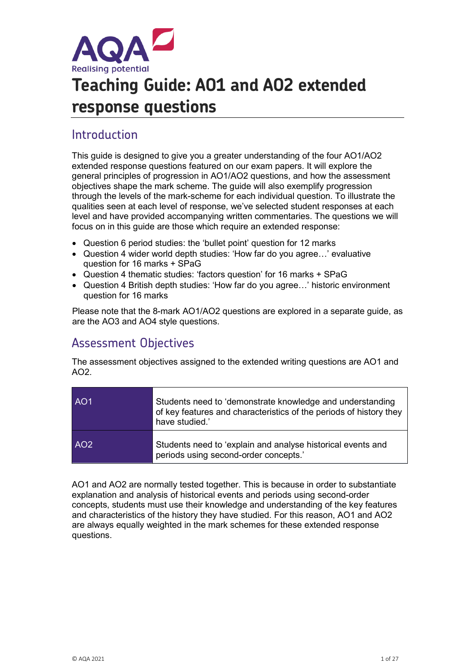

# **Teaching Guide: AO1 and AO2 extended response questions**

# Introduction

This guide is designed to give you a greater understanding of the four AO1/AO2 extended response questions featured on our exam papers. It will explore the general principles of progression in AO1/AO2 questions, and how the assessment objectives shape the mark scheme. The guide will also exemplify progression through the levels of the mark-scheme for each individual question. To illustrate the qualities seen at each level of response, we've selected student responses at each level and have provided accompanying written commentaries. The questions we will focus on in this guide are those which require an extended response:

- Question 6 period studies: the 'bullet point' question for 12 marks
- Question 4 wider world depth studies: 'How far do you agree…' evaluative question for 16 marks + SPaG
- Question 4 thematic studies: 'factors question' for 16 marks + SPaG
- Question 4 British depth studies: 'How far do you agree…' historic environment question for 16 marks

Please note that the 8-mark AO1/AO2 questions are explored in a separate guide, as are the AO3 and AO4 style questions.

# Assessment Objectives

The assessment objectives assigned to the extended writing questions are AO1 and AO2.

| AO <sub>1</sub> | Students need to 'demonstrate knowledge and understanding<br>of key features and characteristics of the periods of history they<br>have studied.' |
|-----------------|---------------------------------------------------------------------------------------------------------------------------------------------------|
| AO <sub>2</sub> | Students need to 'explain and analyse historical events and<br>periods using second-order concepts.'                                              |

AO1 and AO2 are normally tested together. This is because in order to substantiate explanation and analysis of historical events and periods using second-order concepts, students must use their knowledge and understanding of the key features and characteristics of the history they have studied. For this reason, AO1 and AO2 are always equally weighted in the mark schemes for these extended response questions.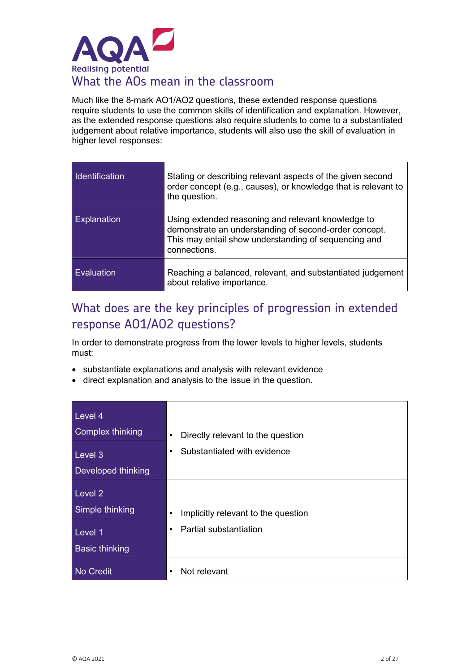

Much like the 8-mark AO1/AO2 questions, these extended response questions require students to use the common skills of identification and explanation. However, as the extended response questions also require students to come to a substantiated judgement about relative importance, students will also use the skill of evaluation in higher level responses:

| Identification | Stating or describing relevant aspects of the given second<br>order concept (e.g., causes), or knowledge that is relevant to<br>the question.                                       |
|----------------|-------------------------------------------------------------------------------------------------------------------------------------------------------------------------------------|
| Explanation    | Using extended reasoning and relevant knowledge to<br>demonstrate an understanding of second-order concept.<br>This may entail show understanding of sequencing and<br>connections. |
| Evaluation     | Reaching a balanced, relevant, and substantiated judgement<br>about relative importance.                                                                                            |

# What does are the key principles of progression in extended response AO1/AO2 questions?

In order to demonstrate progress from the lower levels to higher levels, students must:

- substantiate explanations and analysis with relevant evidence
- direct explanation and analysis to the issue in the question.

| Level 4<br>Complex thinking | Directly relevant to the question<br>$\bullet$   |
|-----------------------------|--------------------------------------------------|
| Level 3                     | Substantiated with evidence<br>٠                 |
| <b>Developed thinking</b>   |                                                  |
| Level 2                     |                                                  |
| Simple thinking             | Implicitly relevant to the question<br>$\bullet$ |
| Level 1                     | Partial substantiation<br>$\bullet$              |
| <b>Basic thinking</b>       |                                                  |
| No Credit                   | Not relevant                                     |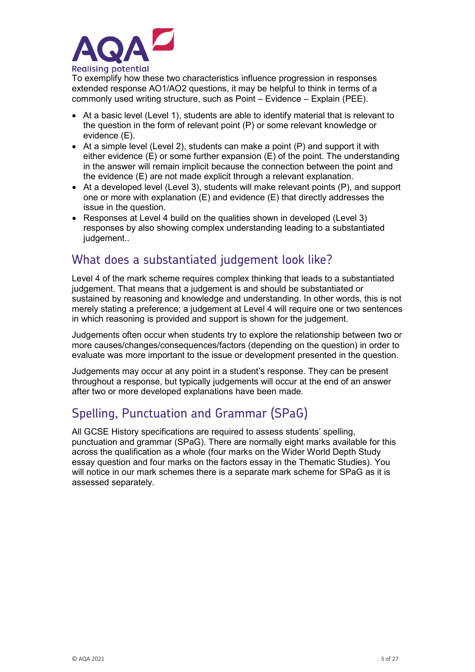

To exemplify how these two characteristics influence progression in responses extended response AO1/AO2 questions, it may be helpful to think in terms of a commonly used writing structure, such as Point – Evidence – Explain (PEE).

- At a basic level (Level 1), students are able to identify material that is relevant to the question in the form of relevant point (P) or some relevant knowledge or evidence (E).
- At a simple level (Level 2), students can make a point (P) and support it with either evidence (E) or some further expansion (E) of the point. The understanding in the answer will remain implicit because the connection between the point and the evidence (E) are not made explicit through a relevant explanation.
- At a developed level (Level 3), students will make relevant points (P), and support one or more with explanation (E) and evidence (E) that directly addresses the issue in the question.
- Responses at Level 4 build on the qualities shown in developed (Level 3) responses by also showing complex understanding leading to a substantiated judgement..

# What does a substantiated judgement look like?

Level 4 of the mark scheme requires complex thinking that leads to a substantiated judgement. That means that a judgement is and should be substantiated or sustained by reasoning and knowledge and understanding. In other words, this is not merely stating a preference; a judgement at Level 4 will require one or two sentences in which reasoning is provided and support is shown for the judgement.

Judgements often occur when students try to explore the relationship between two or more causes/changes/consequences/factors (depending on the question) in order to evaluate was more important to the issue or development presented in the question.

Judgements may occur at any point in a student's response. They can be present throughout a response, but typically judgements will occur at the end of an answer after two or more developed explanations have been made.

# Spelling, Punctuation and Grammar (SPaG)

All GCSE History specifications are required to assess students' spelling, punctuation and grammar (SPaG). There are normally eight marks available for this across the qualification as a whole (four marks on the Wider World Depth Study essay question and four marks on the factors essay in the Thematic Studies). You will notice in our mark schemes there is a separate mark scheme for SPaG as it is assessed separately.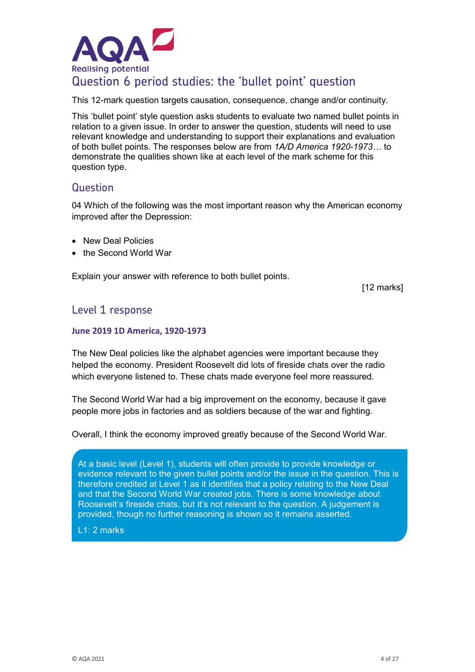

# Question 6 period studies: the 'bullet point' question

This 12-mark question targets causation, consequence, change and/or continuity.

This 'bullet point' style question asks students to evaluate two named bullet points in relation to a given issue. In order to answer the question, students will need to use relevant knowledge and understanding to support their explanations and evaluation of both bullet points. The responses below are from *1A/D America 1920-1973…* to demonstrate the qualities shown like at each level of the mark scheme for this question type.

### **Question**

04 Which of the following was the most important reason why the American economy improved after the Depression:

- New Deal Policies
- the Second World War

Explain your answer with reference to both bullet points.

[12 marks]

### Level 1 response

#### **June 2019 1D America, 1920-1973**

The New Deal policies like the alphabet agencies were important because they helped the economy. President Roosevelt did lots of fireside chats over the radio which everyone listened to. These chats made everyone feel more reassured.

The Second World War had a big improvement on the economy, because it gave people more jobs in factories and as soldiers because of the war and fighting.

Overall, I think the economy improved greatly because of the Second World War.

At a basic level (Level 1), students will often provide to provide knowledge or evidence relevant to the given bullet points and/or the issue in the question. This is therefore credited at Level 1 as it identifies that a policy relating to the New Deal and that the Second World War created jobs. There is some knowledge about Roosevelt's fireside chats, but it's not relevant to the question. A judgement is provided, though no further reasoning is shown so it remains asserted.

L1: 2 marks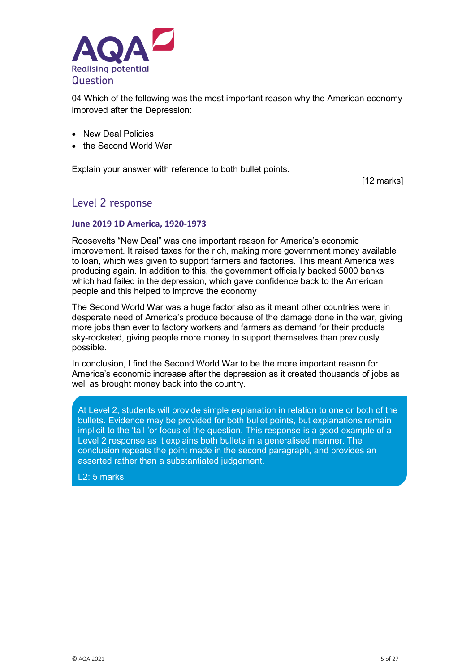

04 Which of the following was the most important reason why the American economy improved after the Depression:

- New Deal Policies
- the Second World War

Explain your answer with reference to both bullet points.

[12 marks]

### Level 2 response

#### **June 2019 1D America, 1920-1973**

Roosevelts "New Deal" was one important reason for America's economic improvement. It raised taxes for the rich, making more government money available to loan, which was given to support farmers and factories. This meant America was producing again. In addition to this, the government officially backed 5000 banks which had failed in the depression, which gave confidence back to the American people and this helped to improve the economy

The Second World War was a huge factor also as it meant other countries were in desperate need of America's produce because of the damage done in the war, giving more jobs than ever to factory workers and farmers as demand for their products sky-rocketed, giving people more money to support themselves than previously possible.

In conclusion, I find the Second World War to be the more important reason for America's economic increase after the depression as it created thousands of jobs as well as brought money back into the country.

At Level 2, students will provide simple explanation in relation to one or both of the bullets. Evidence may be provided for both bullet points, but explanations remain implicit to the 'tail 'or focus of the question. This response is a good example of a Level 2 response as it explains both bullets in a generalised manner. The conclusion repeats the point made in the second paragraph, and provides an asserted rather than a substantiated judgement.

L2: 5 marks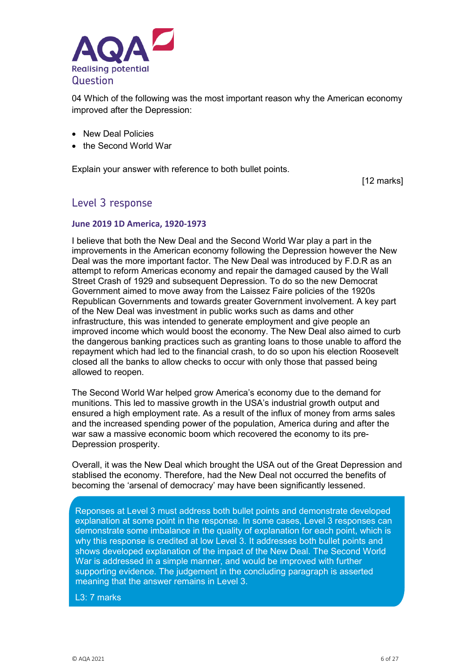

04 Which of the following was the most important reason why the American economy improved after the Depression:

- New Deal Policies
- the Second World War

Explain your answer with reference to both bullet points.

[12 marks]

### Level 3 response

#### **June 2019 1D America, 1920-1973**

I believe that both the New Deal and the Second World War play a part in the improvements in the American economy following the Depression however the New Deal was the more important factor. The New Deal was introduced by F.D.R as an attempt to reform Americas economy and repair the damaged caused by the Wall Street Crash of 1929 and subsequent Depression. To do so the new Democrat Government aimed to move away from the Laissez Faire policies of the 1920s Republican Governments and towards greater Government involvement. A key part of the New Deal was investment in public works such as dams and other infrastructure, this was intended to generate employment and give people an improved income which would boost the economy. The New Deal also aimed to curb the dangerous banking practices such as granting loans to those unable to afford the repayment which had led to the financial crash, to do so upon his election Roosevelt closed all the banks to allow checks to occur with only those that passed being allowed to reopen.

The Second World War helped grow America's economy due to the demand for munitions. This led to massive growth in the USA's industrial growth output and ensured a high employment rate. As a result of the influx of money from arms sales and the increased spending power of the population, America during and after the war saw a massive economic boom which recovered the economy to its pre-Depression prosperity.

Overall, it was the New Deal which brought the USA out of the Great Depression and stablised the economy. Therefore, had the New Deal not occurred the benefits of becoming the 'arsenal of democracy' may have been significantly lessened.

Reponses at Level 3 must address both bullet points and demonstrate developed explanation at some point in the response. In some cases, Level 3 responses can demonstrate some imbalance in the quality of explanation for each point, which is why this response is credited at low Level 3. It addresses both bullet points and shows developed explanation of the impact of the New Deal. The Second World War is addressed in a simple manner, and would be improved with further supporting evidence. The judgement in the concluding paragraph is asserted meaning that the answer remains in Level 3.

L3: 7 marks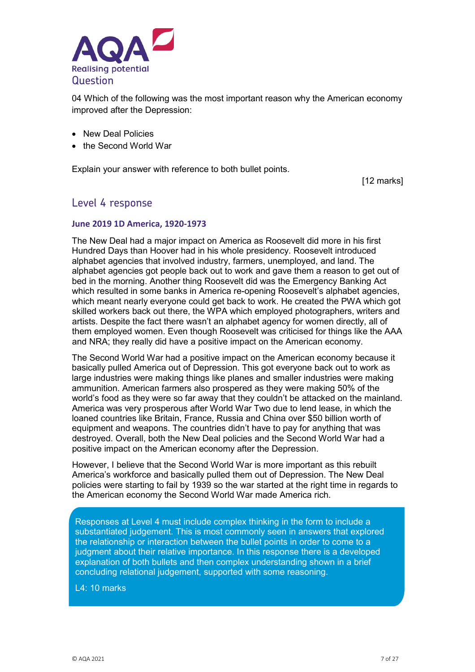

04 Which of the following was the most important reason why the American economy improved after the Depression:

- New Deal Policies
- the Second World War

Explain your answer with reference to both bullet points.

[12 marks]

### Level 4 response

#### **June 2019 1D America, 1920-1973**

The New Deal had a major impact on America as Roosevelt did more in his first Hundred Days than Hoover had in his whole presidency. Roosevelt introduced alphabet agencies that involved industry, farmers, unemployed, and land. The alphabet agencies got people back out to work and gave them a reason to get out of bed in the morning. Another thing Roosevelt did was the Emergency Banking Act which resulted in some banks in America re-opening Roosevelt's alphabet agencies, which meant nearly everyone could get back to work. He created the PWA which got skilled workers back out there, the WPA which employed photographers, writers and artists. Despite the fact there wasn't an alphabet agency for women directly, all of them employed women. Even though Roosevelt was criticised for things like the AAA and NRA; they really did have a positive impact on the American economy.

The Second World War had a positive impact on the American economy because it basically pulled America out of Depression. This got everyone back out to work as large industries were making things like planes and smaller industries were making ammunition. American farmers also prospered as they were making 50% of the world's food as they were so far away that they couldn't be attacked on the mainland. America was very prosperous after World War Two due to lend lease, in which the loaned countries like Britain, France, Russia and China over \$50 billion worth of equipment and weapons. The countries didn't have to pay for anything that was destroyed. Overall, both the New Deal policies and the Second World War had a positive impact on the American economy after the Depression.

However, I believe that the Second World War is more important as this rebuilt America's workforce and basically pulled them out of Depression. The New Deal policies were starting to fail by 1939 so the war started at the right time in regards to the American economy the Second World War made America rich.

Responses at Level 4 must include complex thinking in the form to include a substantiated judgement. This is most commonly seen in answers that explored the relationship or interaction between the bullet points in order to come to a judgment about their relative importance. In this response there is a developed explanation of both bullets and then complex understanding shown in a brief concluding relational judgement, supported with some reasoning.

L4: 10 marks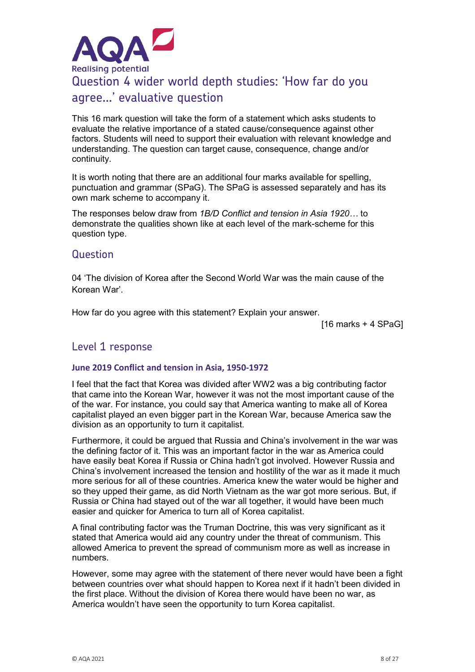

This 16 mark question will take the form of a statement which asks students to evaluate the relative importance of a stated cause/consequence against other factors. Students will need to support their evaluation with relevant knowledge and understanding. The question can target cause, consequence, change and/or continuity.

It is worth noting that there are an additional four marks available for spelling, punctuation and grammar (SPaG). The SPaG is assessed separately and has its own mark scheme to accompany it.

The responses below draw from *1B/D Conflict and tension in Asia 1920…* to demonstrate the qualities shown like at each level of the mark-scheme for this question type.

### Question

04 'The division of Korea after the Second World War was the main cause of the Korean War'.

How far do you agree with this statement? Explain your answer.

[16 marks + 4 SPaG]

### Level 1 response

#### **June 2019 Conflict and tension in Asia, 1950-1972**

I feel that the fact that Korea was divided after WW2 was a big contributing factor that came into the Korean War, however it was not the most important cause of the of the war. For instance, you could say that America wanting to make all of Korea capitalist played an even bigger part in the Korean War, because America saw the division as an opportunity to turn it capitalist.

Furthermore, it could be argued that Russia and China's involvement in the war was the defining factor of it. This was an important factor in the war as America could have easily beat Korea if Russia or China hadn't got involved. However Russia and China's involvement increased the tension and hostility of the war as it made it much more serious for all of these countries. America knew the water would be higher and so they upped their game, as did North Vietnam as the war got more serious. But, if Russia or China had stayed out of the war all together, it would have been much easier and quicker for America to turn all of Korea capitalist.

A final contributing factor was the Truman Doctrine, this was very significant as it stated that America would aid any country under the threat of communism. This allowed America to prevent the spread of communism more as well as increase in numbers.

However, some may agree with the statement of there never would have been a fight between countries over what should happen to Korea next if it hadn't been divided in the first place. Without the division of Korea there would have been no war, as America wouldn't have seen the opportunity to turn Korea capitalist.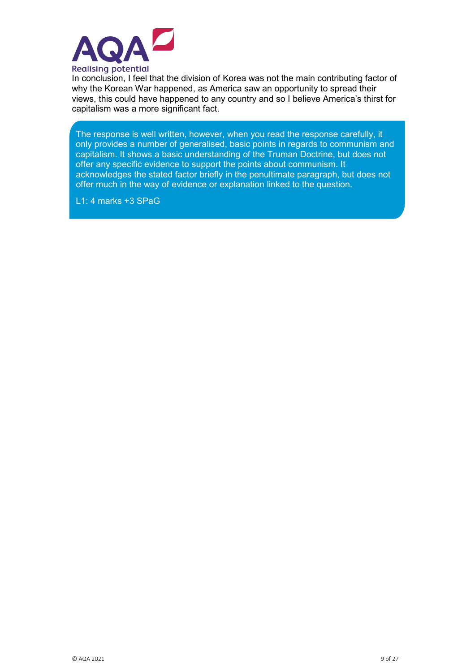

In conclusion, I feel that the division of Korea was not the main contributing factor of why the Korean War happened, as America saw an opportunity to spread their views, this could have happened to any country and so I believe America's thirst for capitalism was a more significant fact.

The response is well written, however, when you read the response carefully, it only provides a number of generalised, basic points in regards to communism and capitalism. It shows a basic understanding of the Truman Doctrine, but does not offer any specific evidence to support the points about communism. It acknowledges the stated factor briefly in the penultimate paragraph, but does not offer much in the way of evidence or explanation linked to the question.

L1: 4 marks +3 SPaG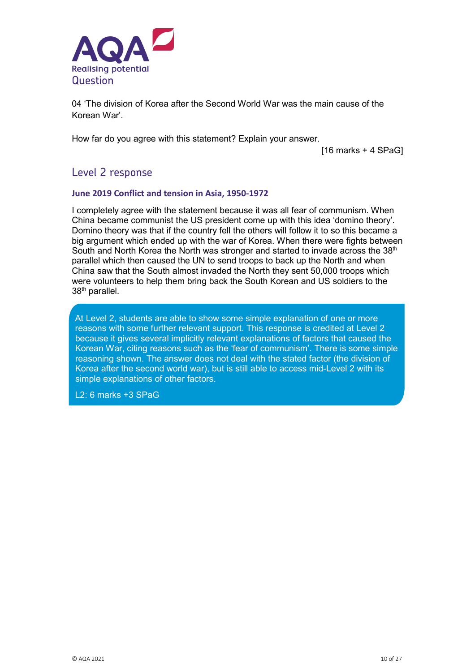

04 'The division of Korea after the Second World War was the main cause of the Korean War'.

How far do you agree with this statement? Explain your answer.

[16 marks + 4 SPaG]

### Level 2 response

#### **June 2019 Conflict and tension in Asia, 1950-1972**

I completely agree with the statement because it was all fear of communism. When China became communist the US president come up with this idea 'domino theory'. Domino theory was that if the country fell the others will follow it to so this became a big argument which ended up with the war of Korea. When there were fights between South and North Korea the North was stronger and started to invade across the  $38<sup>th</sup>$ parallel which then caused the UN to send troops to back up the North and when China saw that the South almost invaded the North they sent 50,000 troops which were volunteers to help them bring back the South Korean and US soldiers to the 38th parallel.

At Level 2, students are able to show some simple explanation of one or more reasons with some further relevant support. This response is credited at Level 2 because it gives several implicitly relevant explanations of factors that caused the Korean War, citing reasons such as the 'fear of communism'. There is some simple reasoning shown. The answer does not deal with the stated factor (the division of Korea after the second world war), but is still able to access mid-Level 2 with its simple explanations of other factors.

L2: 6 marks +3 SPaG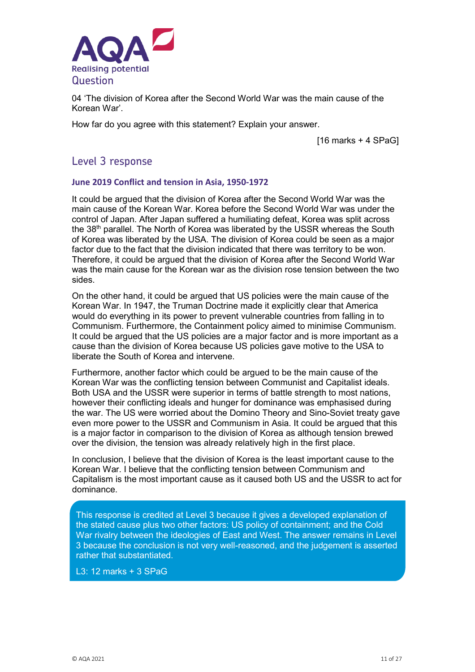

04 'The division of Korea after the Second World War was the main cause of the Korean War'.

How far do you agree with this statement? Explain your answer.

[16 marks + 4 SPaG]

### Level 3 response

#### **June 2019 Conflict and tension in Asia, 1950-1972**

It could be argued that the division of Korea after the Second World War was the main cause of the Korean War. Korea before the Second World War was under the control of Japan. After Japan suffered a humiliating defeat, Korea was split across the 38<sup>th</sup> parallel. The North of Korea was liberated by the USSR whereas the South of Korea was liberated by the USA. The division of Korea could be seen as a major factor due to the fact that the division indicated that there was territory to be won. Therefore, it could be argued that the division of Korea after the Second World War was the main cause for the Korean war as the division rose tension between the two sides.

On the other hand, it could be argued that US policies were the main cause of the Korean War. In 1947, the Truman Doctrine made it explicitly clear that America would do everything in its power to prevent vulnerable countries from falling in to Communism. Furthermore, the Containment policy aimed to minimise Communism. It could be argued that the US policies are a major factor and is more important as a cause than the division of Korea because US policies gave motive to the USA to liberate the South of Korea and intervene.

Furthermore, another factor which could be argued to be the main cause of the Korean War was the conflicting tension between Communist and Capitalist ideals. Both USA and the USSR were superior in terms of battle strength to most nations, however their conflicting ideals and hunger for dominance was emphasised during the war. The US were worried about the Domino Theory and Sino-Soviet treaty gave even more power to the USSR and Communism in Asia. It could be argued that this is a major factor in comparison to the division of Korea as although tension brewed over the division, the tension was already relatively high in the first place.

In conclusion, I believe that the division of Korea is the least important cause to the Korean War. I believe that the conflicting tension between Communism and Capitalism is the most important cause as it caused both US and the USSR to act for dominance.

This response is credited at Level 3 because it gives a developed explanation of the stated cause plus two other factors: US policy of containment; and the Cold War rivalry between the ideologies of East and West. The answer remains in Level 3 because the conclusion is not very well-reasoned, and the judgement is asserted rather that substantiated.

L3: 12 marks + 3 SPaG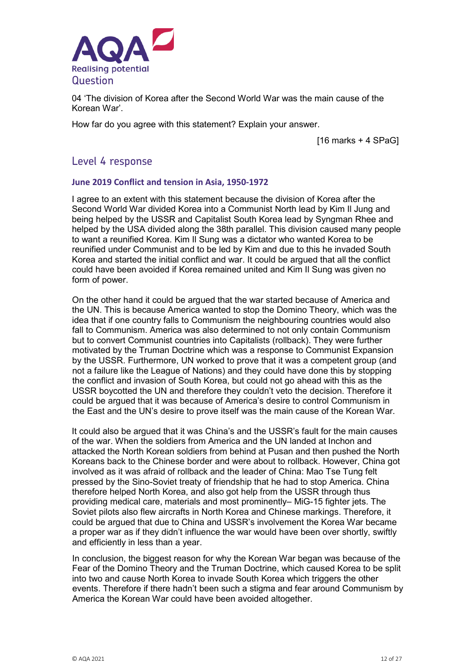

04 'The division of Korea after the Second World War was the main cause of the Korean War'.

How far do you agree with this statement? Explain your answer.

[16 marks + 4 SPaG]

### Level 4 response

#### **June 2019 Conflict and tension in Asia, 1950-1972**

I agree to an extent with this statement because the division of Korea after the Second World War divided Korea into a Communist North lead by Kim Il Jung and being helped by the USSR and Capitalist South Korea lead by Syngman Rhee and helped by the USA divided along the 38th parallel. This division caused many people to want a reunified Korea. Kim Il Sung was a dictator who wanted Korea to be reunified under Communist and to be led by Kim and due to this he invaded South Korea and started the initial conflict and war. It could be argued that all the conflict could have been avoided if Korea remained united and Kim Il Sung was given no form of power.

On the other hand it could be argued that the war started because of America and the UN. This is because America wanted to stop the Domino Theory, which was the idea that if one country falls to Communism the neighbouring countries would also fall to Communism. America was also determined to not only contain Communism but to convert Communist countries into Capitalists (rollback). They were further motivated by the Truman Doctrine which was a response to Communist Expansion by the USSR. Furthermore, UN worked to prove that it was a competent group (and not a failure like the League of Nations) and they could have done this by stopping the conflict and invasion of South Korea, but could not go ahead with this as the USSR boycotted the UN and therefore they couldn't veto the decision. Therefore it could be argued that it was because of America's desire to control Communism in the East and the UN's desire to prove itself was the main cause of the Korean War.

It could also be argued that it was China's and the USSR's fault for the main causes of the war. When the soldiers from America and the UN landed at Inchon and attacked the North Korean soldiers from behind at Pusan and then pushed the North Koreans back to the Chinese border and were about to rollback. However, China got involved as it was afraid of rollback and the leader of China: Mao Tse Tung felt pressed by the Sino-Soviet treaty of friendship that he had to stop America. China therefore helped North Korea, and also got help from the USSR through thus providing medical care, materials and most prominently– MiG-15 fighter jets. The Soviet pilots also flew aircrafts in North Korea and Chinese markings. Therefore, it could be argued that due to China and USSR's involvement the Korea War became a proper war as if they didn't influence the war would have been over shortly, swiftly and efficiently in less than a year.

In conclusion, the biggest reason for why the Korean War began was because of the Fear of the Domino Theory and the Truman Doctrine, which caused Korea to be split into two and cause North Korea to invade South Korea which triggers the other events. Therefore if there hadn't been such a stigma and fear around Communism by America the Korean War could have been avoided altogether.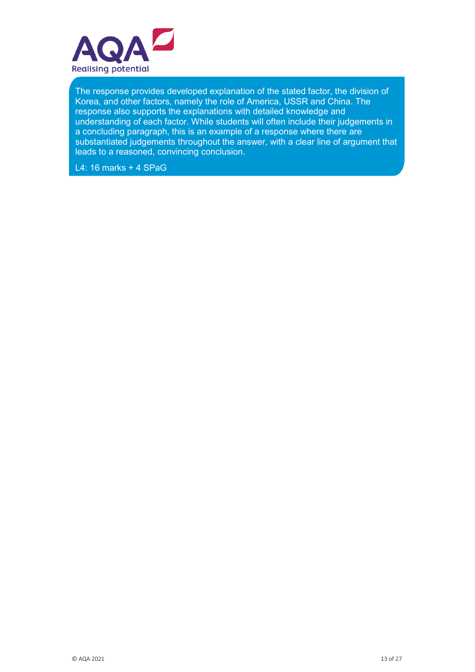

The response provides developed explanation of the stated factor, the division of Korea, and other factors, namely the role of America, USSR and China. The response also supports the explanations with detailed knowledge and understanding of each factor. While students will often include their judgements in a concluding paragraph, this is an example of a response where there are substantiated judgements throughout the answer, with a clear line of argument that leads to a reasoned, convincing conclusion.

L4: 16 marks + 4 SPaG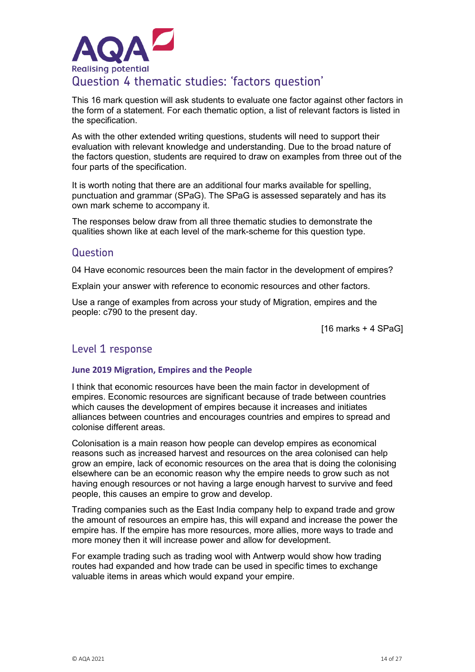

This 16 mark question will ask students to evaluate one factor against other factors in the form of a statement. For each thematic option, a list of relevant factors is listed in the specification.

As with the other extended writing questions, students will need to support their evaluation with relevant knowledge and understanding. Due to the broad nature of the factors question, students are required to draw on examples from three out of the four parts of the specification.

It is worth noting that there are an additional four marks available for spelling, punctuation and grammar (SPaG). The SPaG is assessed separately and has its own mark scheme to accompany it.

The responses below draw from all three thematic studies to demonstrate the qualities shown like at each level of the mark-scheme for this question type.

### Question

04 Have economic resources been the main factor in the development of empires?

Explain your answer with reference to economic resources and other factors.

Use a range of examples from across your study of Migration, empires and the people: c790 to the present day.

[16 marks + 4 SPaG]

### Level 1 response

#### **June 2019 Migration, Empires and the People**

I think that economic resources have been the main factor in development of empires. Economic resources are significant because of trade between countries which causes the development of empires because it increases and initiates alliances between countries and encourages countries and empires to spread and colonise different areas.

Colonisation is a main reason how people can develop empires as economical reasons such as increased harvest and resources on the area colonised can help grow an empire, lack of economic resources on the area that is doing the colonising elsewhere can be an economic reason why the empire needs to grow such as not having enough resources or not having a large enough harvest to survive and feed people, this causes an empire to grow and develop.

Trading companies such as the East India company help to expand trade and grow the amount of resources an empire has, this will expand and increase the power the empire has. If the empire has more resources, more allies, more ways to trade and more money then it will increase power and allow for development.

For example trading such as trading wool with Antwerp would show how trading routes had expanded and how trade can be used in specific times to exchange valuable items in areas which would expand your empire.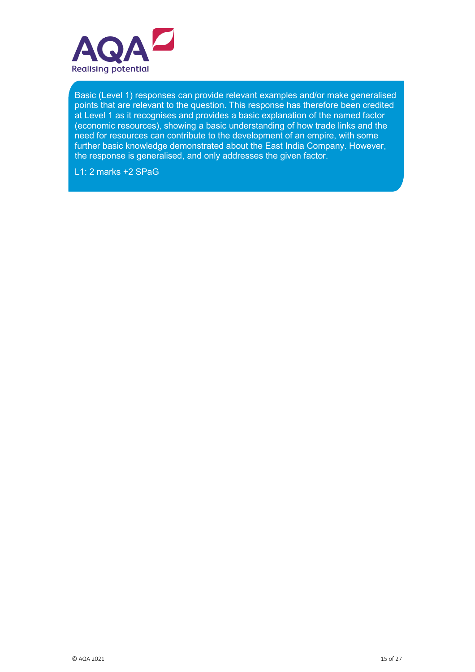

Basic (Level 1) responses can provide relevant examples and/or make generalised points that are relevant to the question. This response has therefore been credited at Level 1 as it recognises and provides a basic explanation of the named factor (economic resources), showing a basic understanding of how trade links and the need for resources can contribute to the development of an empire, with some further basic knowledge demonstrated about the East India Company. However, the response is generalised, and only addresses the given factor.

L1: 2 marks +2 SPaG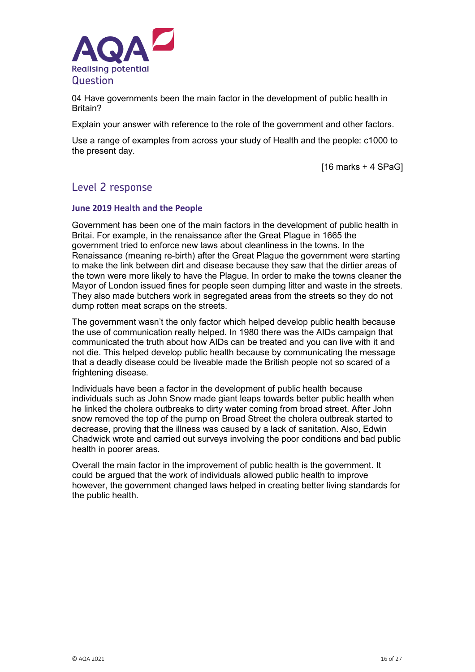

04 Have governments been the main factor in the development of public health in Britain?

Explain your answer with reference to the role of the government and other factors.

Use a range of examples from across your study of Health and the people: c1000 to the present day.

 $[16$  marks + 4 SPaG]

### Level 2 response

#### **June 2019 Health and the People**

Government has been one of the main factors in the development of public health in Britai. For example, in the renaissance after the Great Plague in 1665 the government tried to enforce new laws about cleanliness in the towns. In the Renaissance (meaning re-birth) after the Great Plague the government were starting to make the link between dirt and disease because they saw that the dirtier areas of the town were more likely to have the Plague. In order to make the towns cleaner the Mayor of London issued fines for people seen dumping litter and waste in the streets. They also made butchers work in segregated areas from the streets so they do not dump rotten meat scraps on the streets.

The government wasn't the only factor which helped develop public health because the use of communication really helped. In 1980 there was the AIDs campaign that communicated the truth about how AIDs can be treated and you can live with it and not die. This helped develop public health because by communicating the message that a deadly disease could be liveable made the British people not so scared of a frightening disease.

Individuals have been a factor in the development of public health because individuals such as John Snow made giant leaps towards better public health when he linked the cholera outbreaks to dirty water coming from broad street. After John snow removed the top of the pump on Broad Street the cholera outbreak started to decrease, proving that the illness was caused by a lack of sanitation. Also, Edwin Chadwick wrote and carried out surveys involving the poor conditions and bad public health in poorer areas.

Overall the main factor in the improvement of public health is the government. It could be argued that the work of individuals allowed public health to improve however, the government changed laws helped in creating better living standards for the public health.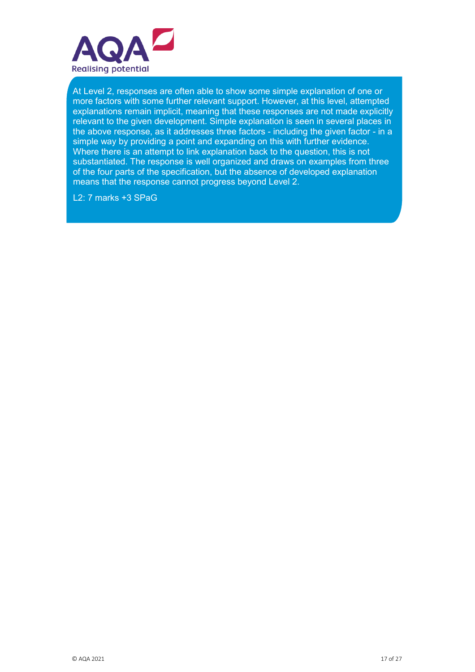

At Level 2, responses are often able to show some simple explanation of one or more factors with some further relevant support. However, at this level, attempted explanations remain implicit, meaning that these responses are not made explicitly relevant to the given development. Simple explanation is seen in several places in the above response, as it addresses three factors - including the given factor - in a simple way by providing a point and expanding on this with further evidence. Where there is an attempt to link explanation back to the question, this is not substantiated. The response is well organized and draws on examples from three of the four parts of the specification, but the absence of developed explanation means that the response cannot progress beyond Level 2.

L2: 7 marks +3 SPaG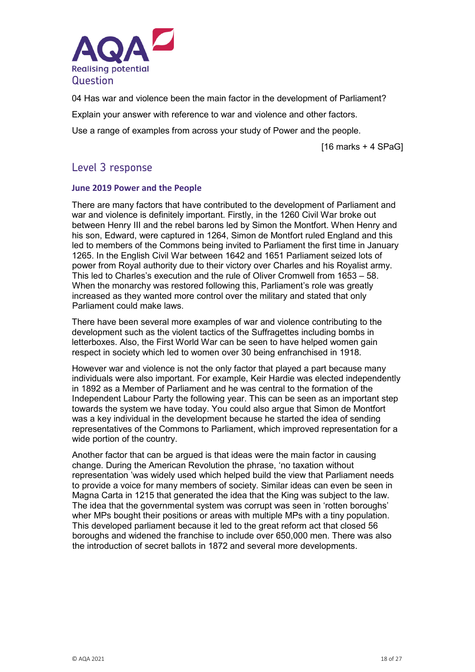

04 Has war and violence been the main factor in the development of Parliament? Explain your answer with reference to war and violence and other factors. Use a range of examples from across your study of Power and the people.

 $[16$  marks + 4 SPaG]

### Level 3 response

### **June 2019 Power and the People**

There are many factors that have contributed to the development of Parliament and war and violence is definitely important. Firstly, in the 1260 Civil War broke out between Henry III and the rebel barons led by Simon the Montfort. When Henry and his son, Edward, were captured in 1264, Simon de Montfort ruled England and this led to members of the Commons being invited to Parliament the first time in January 1265. In the English Civil War between 1642 and 1651 Parliament seized lots of power from Royal authority due to their victory over Charles and his Royalist army. This led to Charles's execution and the rule of Oliver Cromwell from 1653 – 58. When the monarchy was restored following this, Parliament's role was greatly increased as they wanted more control over the military and stated that only Parliament could make laws.

There have been several more examples of war and violence contributing to the development such as the violent tactics of the Suffragettes including bombs in letterboxes. Also, the First World War can be seen to have helped women gain respect in society which led to women over 30 being enfranchised in 1918.

However war and violence is not the only factor that played a part because many individuals were also important. For example, Keir Hardie was elected independently in 1892 as a Member of Parliament and he was central to the formation of the Independent Labour Party the following year. This can be seen as an important step towards the system we have today. You could also argue that Simon de Montfort was a key individual in the development because he started the idea of sending representatives of the Commons to Parliament, which improved representation for a wide portion of the country.

Another factor that can be argued is that ideas were the main factor in causing change. During the American Revolution the phrase, 'no taxation without representation 'was widely used which helped build the view that Parliament needs to provide a voice for many members of society. Similar ideas can even be seen in Magna Carta in 1215 that generated the idea that the King was subject to the law. The idea that the governmental system was corrupt was seen in 'rotten boroughs' wher MPs bought their positions or areas with multiple MPs with a tiny population. This developed parliament because it led to the great reform act that closed 56 boroughs and widened the franchise to include over 650,000 men. There was also the introduction of secret ballots in 1872 and several more developments.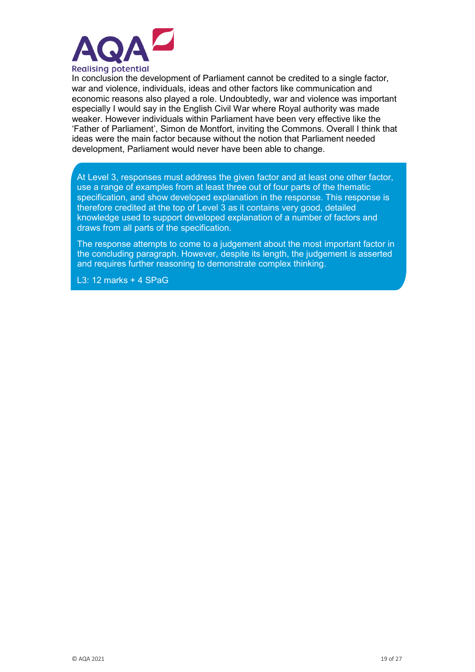

In conclusion the development of Parliament cannot be credited to a single factor, war and violence, individuals, ideas and other factors like communication and economic reasons also played a role. Undoubtedly, war and violence was important especially I would say in the English Civil War where Royal authority was made weaker. However individuals within Parliament have been very effective like the 'Father of Parliament', Simon de Montfort, inviting the Commons. Overall I think that ideas were the main factor because without the notion that Parliament needed development, Parliament would never have been able to change.

At Level 3, responses must address the given factor and at least one other factor, use a range of examples from at least three out of four parts of the thematic specification, and show developed explanation in the response. This response is therefore credited at the top of Level 3 as it contains very good, detailed knowledge used to support developed explanation of a number of factors and draws from all parts of the specification.

The response attempts to come to a judgement about the most important factor in the concluding paragraph. However, despite its length, the judgement is asserted and requires further reasoning to demonstrate complex thinking.

L3: 12 marks + 4 SPaG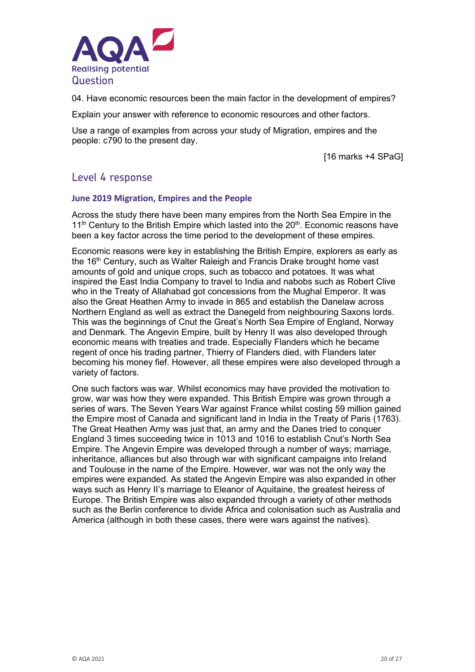

04. Have economic resources been the main factor in the development of empires?

Explain your answer with reference to economic resources and other factors.

Use a range of examples from across your study of Migration, empires and the people: c790 to the present day.

[16 marks +4 SPaG]

### Level 4 response

#### **June 2019 Migration, Empires and the People**

Across the study there have been many empires from the North Sea Empire in the  $11<sup>th</sup>$  Century to the British Empire which lasted into the  $20<sup>th</sup>$ . Economic reasons have been a key factor across the time period to the development of these empires.

Economic reasons were key in establishing the British Empire, explorers as early as the 16<sup>th</sup> Century, such as Walter Raleigh and Francis Drake brought home vast amounts of gold and unique crops, such as tobacco and potatoes. It was what inspired the East India Company to travel to India and nabobs such as Robert Clive who in the Treaty of Allahabad got concessions from the Mughal Emperor. It was also the Great Heathen Army to invade in 865 and establish the Danelaw across Northern England as well as extract the Danegeld from neighbouring Saxons lords. This was the beginnings of Cnut the Great's North Sea Empire of England, Norway and Denmark. The Angevin Empire, built by Henry II was also developed through economic means with treaties and trade. Especially Flanders which he became regent of once his trading partner, Thierry of Flanders died, with Flanders later becoming his money fief. However, all these empires were also developed through a variety of factors.

One such factors was war. Whilst economics may have provided the motivation to grow, war was how they were expanded. This British Empire was grown through a series of wars. The Seven Years War against France whilst costing 59 million gained the Empire most of Canada and significant land in India in the Treaty of Paris (1763). The Great Heathen Army was just that, an army and the Danes tried to conquer England 3 times succeeding twice in 1013 and 1016 to establish Cnut's North Sea Empire. The Angevin Empire was developed through a number of ways; marriage, inheritance, alliances but also through war with significant campaigns into Ireland and Toulouse in the name of the Empire. However, war was not the only way the empires were expanded. As stated the Angevin Empire was also expanded in other ways such as Henry II's marriage to Eleanor of Aquitaine, the greatest heiress of Europe. The British Empire was also expanded through a variety of other methods such as the Berlin conference to divide Africa and colonisation such as Australia and America (although in both these cases, there were wars against the natives).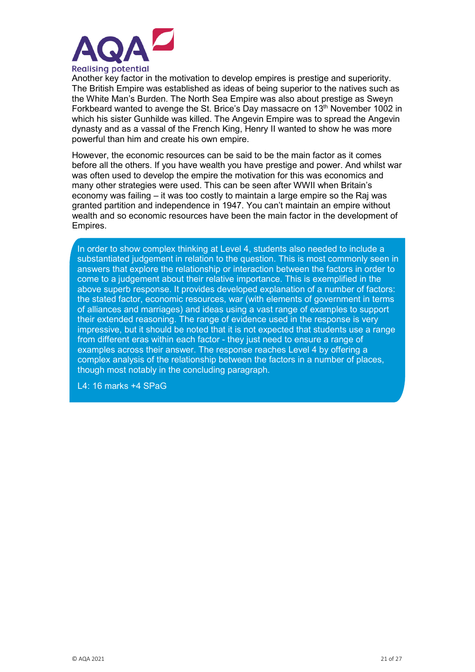

Another key factor in the motivation to develop empires is prestige and superiority. The British Empire was established as ideas of being superior to the natives such as the White Man's Burden. The North Sea Empire was also about prestige as Sweyn Forkbeard wanted to avenge the St. Brice's Day massacre on 13<sup>th</sup> November 1002 in which his sister Gunhilde was killed. The Angevin Empire was to spread the Angevin dynasty and as a vassal of the French King, Henry II wanted to show he was more powerful than him and create his own empire.

However, the economic resources can be said to be the main factor as it comes before all the others. If you have wealth you have prestige and power. And whilst war was often used to develop the empire the motivation for this was economics and many other strategies were used. This can be seen after WWII when Britain's economy was failing – it was too costly to maintain a large empire so the Raj was granted partition and independence in 1947. You can't maintain an empire without wealth and so economic resources have been the main factor in the development of Empires.

In order to show complex thinking at Level 4, students also needed to include a substantiated judgement in relation to the question. This is most commonly seen in answers that explore the relationship or interaction between the factors in order to come to a judgement about their relative importance. This is exemplified in the above superb response. It provides developed explanation of a number of factors: the stated factor, economic resources, war (with elements of government in terms of alliances and marriages) and ideas using a vast range of examples to support their extended reasoning. The range of evidence used in the response is very impressive, but it should be noted that it is not expected that students use a range from different eras within each factor - they just need to ensure a range of examples across their answer. The response reaches Level 4 by offering a complex analysis of the relationship between the factors in a number of places, though most notably in the concluding paragraph.

L4: 16 marks +4 SPaG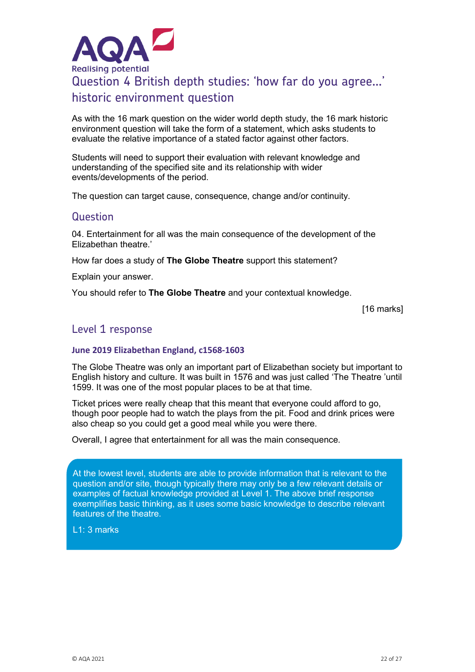

As with the 16 mark question on the wider world depth study, the 16 mark historic environment question will take the form of a statement, which asks students to evaluate the relative importance of a stated factor against other factors.

Students will need to support their evaluation with relevant knowledge and understanding of the specified site and its relationship with wider events/developments of the period.

The question can target cause, consequence, change and/or continuity.

#### Question

04. Entertainment for all was the main consequence of the development of the Elizabethan theatre.'

How far does a study of **The Globe Theatre** support this statement?

Explain your answer.

You should refer to **The Globe Theatre** and your contextual knowledge.

[16 marks]

### Level 1 response

#### **June 2019 Elizabethan England, c1568-1603**

The Globe Theatre was only an important part of Elizabethan society but important to English history and culture. It was built in 1576 and was just called 'The Theatre 'until 1599. It was one of the most popular places to be at that time.

Ticket prices were really cheap that this meant that everyone could afford to go, though poor people had to watch the plays from the pit. Food and drink prices were also cheap so you could get a good meal while you were there.

Overall, I agree that entertainment for all was the main consequence.

At the lowest level, students are able to provide information that is relevant to the question and/or site, though typically there may only be a few relevant details or examples of factual knowledge provided at Level 1. The above brief response exemplifies basic thinking, as it uses some basic knowledge to describe relevant features of the theatre.

L1: 3 marks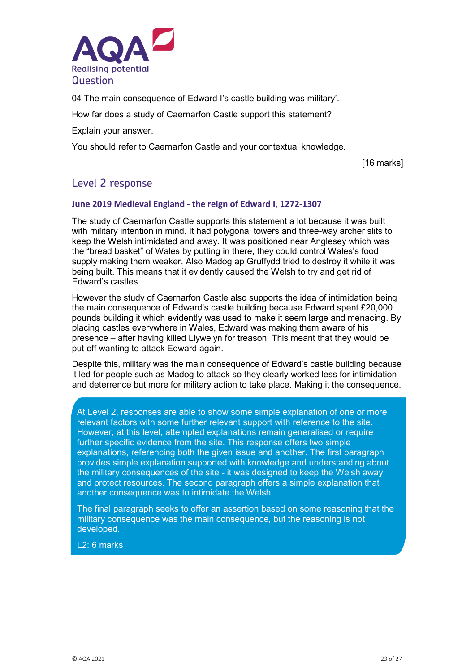

04 The main consequence of Edward I's castle building was military'.

How far does a study of Caernarfon Castle support this statement?

Explain your answer.

You should refer to Caernarfon Castle and your contextual knowledge.

[16 marks]

### Level 2 response

#### **June 2019 Medieval England - the reign of Edward I, 1272-1307**

The study of Caernarfon Castle supports this statement a lot because it was built with military intention in mind. It had polygonal towers and three-way archer slits to keep the Welsh intimidated and away. It was positioned near Anglesey which was the "bread basket" of Wales by putting in there, they could control Wales's food supply making them weaker. Also Madog ap Gruffydd tried to destroy it while it was being built. This means that it evidently caused the Welsh to try and get rid of Edward's castles.

However the study of Caernarfon Castle also supports the idea of intimidation being the main consequence of Edward's castle building because Edward spent £20,000 pounds building it which evidently was used to make it seem large and menacing. By placing castles everywhere in Wales, Edward was making them aware of his presence – after having killed Llywelyn for treason. This meant that they would be put off wanting to attack Edward again.

Despite this, military was the main consequence of Edward's castle building because it led for people such as Madog to attack so they clearly worked less for intimidation and deterrence but more for military action to take place. Making it the consequence.

At Level 2, responses are able to show some simple explanation of one or more relevant factors with some further relevant support with reference to the site. However, at this level, attempted explanations remain generalised or require further specific evidence from the site. This response offers two simple explanations, referencing both the given issue and another. The first paragraph provides simple explanation supported with knowledge and understanding about the military consequences of the site - it was designed to keep the Welsh away and protect resources. The second paragraph offers a simple explanation that another consequence was to intimidate the Welsh.

The final paragraph seeks to offer an assertion based on some reasoning that the military consequence was the main consequence, but the reasoning is not developed.

L2: 6 marks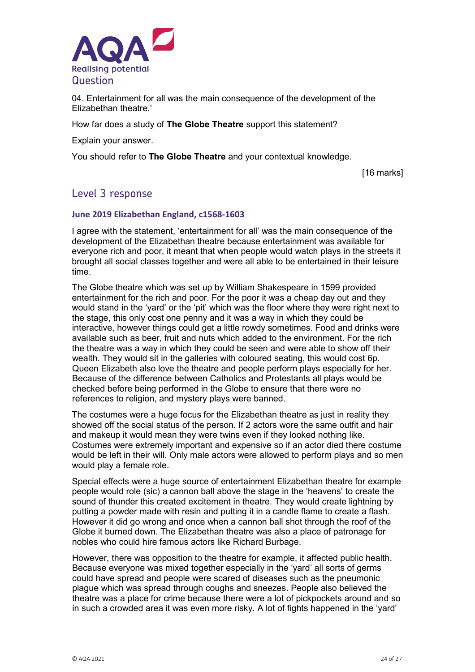

04. Entertainment for all was the main consequence of the development of the Elizabethan theatre.'

How far does a study of **The Globe Theatre** support this statement?

Explain your answer.

You should refer to **The Globe Theatre** and your contextual knowledge.

[16 marks]

### Level 3 response

#### **June 2019 Elizabethan England, c1568-1603**

I agree with the statement, 'entertainment for all' was the main consequence of the development of the Elizabethan theatre because entertainment was available for everyone rich and poor, it meant that when people would watch plays in the streets it brought all social classes together and were all able to be entertained in their leisure time.

The Globe theatre which was set up by William Shakespeare in 1599 provided entertainment for the rich and poor. For the poor it was a cheap day out and they would stand in the 'yard' or the 'pit' which was the floor where they were right next to the stage, this only cost one penny and it was a way in which they could be interactive, however things could get a little rowdy sometimes. Food and drinks were available such as beer, fruit and nuts which added to the environment. For the rich the theatre was a way in which they could be seen and were able to show off their wealth. They would sit in the galleries with coloured seating, this would cost 6p. Queen Elizabeth also love the theatre and people perform plays especially for her. Because of the difference between Catholics and Protestants all plays would be checked before being performed in the Globe to ensure that there were no references to religion, and mystery plays were banned.

The costumes were a huge focus for the Elizabethan theatre as just in reality they showed off the social status of the person. If 2 actors wore the same outfit and hair and makeup it would mean they were twins even if they looked nothing like. Costumes were extremely important and expensive so if an actor died there costume would be left in their will. Only male actors were allowed to perform plays and so men would play a female role.

Special effects were a huge source of entertainment Elizabethan theatre for example people would role (sic) a cannon ball above the stage in the 'heavens' to create the sound of thunder this created excitement in theatre. They would create lightning by putting a powder made with resin and putting it in a candle flame to create a flash. However it did go wrong and once when a cannon ball shot through the roof of the Globe it burned down. The Elizabethan theatre was also a place of patronage for nobles who could hire famous actors like Richard Burbage.

However, there was opposition to the theatre for example, it affected public health. Because everyone was mixed together especially in the 'yard' all sorts of germs could have spread and people were scared of diseases such as the pneumonic plague which was spread through coughs and sneezes. People also believed the theatre was a place for crime because there were a lot of pickpockets around and so in such a crowded area it was even more risky. A lot of fights happened in the 'yard'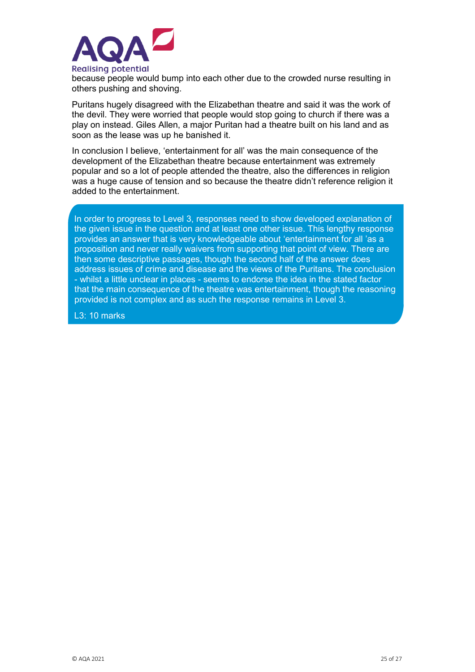

because people would bump into each other due to the crowded nurse resulting in others pushing and shoving.

Puritans hugely disagreed with the Elizabethan theatre and said it was the work of the devil. They were worried that people would stop going to church if there was a play on instead. Giles Allen, a major Puritan had a theatre built on his land and as soon as the lease was up he banished it.

In conclusion I believe, 'entertainment for all' was the main consequence of the development of the Elizabethan theatre because entertainment was extremely popular and so a lot of people attended the theatre, also the differences in religion was a huge cause of tension and so because the theatre didn't reference religion it added to the entertainment.

In order to progress to Level 3, responses need to show developed explanation of the given issue in the question and at least one other issue. This lengthy response provides an answer that is very knowledgeable about 'entertainment for all 'as a proposition and never really waivers from supporting that point of view. There are then some descriptive passages, though the second half of the answer does address issues of crime and disease and the views of the Puritans. The conclusion - whilst a little unclear in places - seems to endorse the idea in the stated factor that the main consequence of the theatre was entertainment, though the reasoning provided is not complex and as such the response remains in Level 3.

L3: 10 marks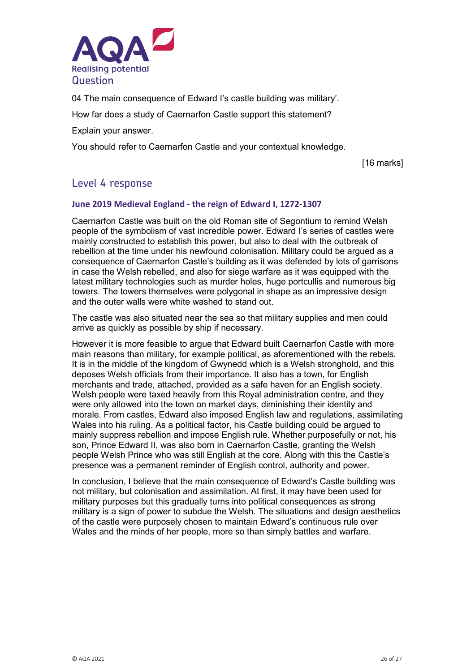

04 The main consequence of Edward I's castle building was military'.

How far does a study of Caernarfon Castle support this statement?

Explain your answer.

You should refer to Caernarfon Castle and your contextual knowledge.

[16 marks]

### Level 4 response

#### **June 2019 Medieval England - the reign of Edward I, 1272-1307**

Caernarfon Castle was built on the old Roman site of Segontium to remind Welsh people of the symbolism of vast incredible power. Edward I's series of castles were mainly constructed to establish this power, but also to deal with the outbreak of rebellion at the time under his newfound colonisation. Military could be argued as a consequence of Caernarfon Castle's building as it was defended by lots of garrisons in case the Welsh rebelled, and also for siege warfare as it was equipped with the latest military technologies such as murder holes, huge portcullis and numerous big towers. The towers themselves were polygonal in shape as an impressive design and the outer walls were white washed to stand out.

The castle was also situated near the sea so that military supplies and men could arrive as quickly as possible by ship if necessary.

However it is more feasible to argue that Edward built Caernarfon Castle with more main reasons than military, for example political, as aforementioned with the rebels. It is in the middle of the kingdom of Gwynedd which is a Welsh stronghold, and this deposes Welsh officials from their importance. It also has a town, for English merchants and trade, attached, provided as a safe haven for an English society. Welsh people were taxed heavily from this Royal administration centre, and they were only allowed into the town on market days, diminishing their identity and morale. From castles, Edward also imposed English law and regulations, assimilating Wales into his ruling. As a political factor, his Castle building could be argued to mainly suppress rebellion and impose English rule. Whether purposefully or not, his son, Prince Edward II, was also born in Caernarfon Castle, granting the Welsh people Welsh Prince who was still English at the core. Along with this the Castle's presence was a permanent reminder of English control, authority and power.

In conclusion, I believe that the main consequence of Edward's Castle building was not military, but colonisation and assimilation. At first, it may have been used for military purposes but this gradually turns into political consequences as strong military is a sign of power to subdue the Welsh. The situations and design aesthetics of the castle were purposely chosen to maintain Edward's continuous rule over Wales and the minds of her people, more so than simply battles and warfare.